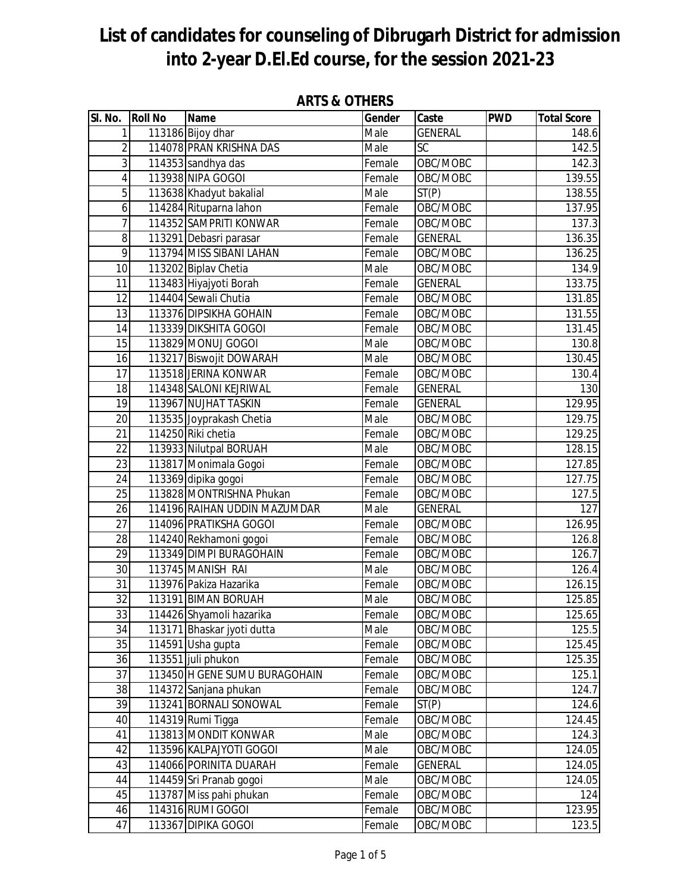| SI. No.         | <b>Roll No</b> | <b>Name</b>                                        | ANIJ Q VINLNJ<br>Gender | Caste                | <b>PWD</b> | <b>Total Score</b>  |
|-----------------|----------------|----------------------------------------------------|-------------------------|----------------------|------------|---------------------|
| 1               |                | 113186 Bijoy dhar                                  | Male                    | <b>GENERAL</b>       |            | 148.6               |
| $\overline{2}$  |                | 114078 PRAN KRISHNA DAS                            | Male                    | $\overline{SC}$      |            | 142.5               |
| 3               |                | 114353 sandhya das                                 | Female                  | OBC/MOBC             |            | 142.3               |
| $\overline{4}$  |                | 113938 NIPA GOGOI                                  | Female                  | OBC/MOBC             |            | 139.55              |
| 5               |                | 113638 Khadyut bakalial                            | Male                    | ST(P)                |            | 138.55              |
| 6               |                | 114284 Rituparna lahon                             | Female                  | OBC/MOBC             |            | 137.95              |
| 7               |                | 114352 SAMPRITI KONWAR                             | Female                  | OBC/MOBC             |            | 137.3               |
| 8               |                | 113291 Debasri parasar                             | Female                  | <b>GENERAL</b>       |            | 136.35              |
| 9               |                | 113794 MISS SIBANI LAHAN                           | Female                  | OBC/MOBC             |            | 136.25              |
| 10              |                | 113202 Biplav Chetia                               | Male                    | OBC/MOBC             |            | 134.9               |
| 11              |                | 113483 Hiyajyoti Borah                             | Female                  | <b>GENERAL</b>       |            | 133.75              |
| $\overline{12}$ |                | 114404 Sewali Chutia                               | Female                  | OBC/MOBC             |            | 131.85              |
| 13              |                | 113376 DIPSIKHA GOHAIN                             | Female                  | OBC/MOBC             |            | 131.55              |
| 14              |                | 113339 DIKSHITA GOGOI                              | Female                  | OBC/MOBC             |            | 131.45              |
| 15              |                | 113829 MONUJ GOGOI                                 | Male                    | OBC/MOBC             |            | 130.8               |
| 16              |                | 113217 Biswojit DOWARAH                            | Male                    | OBC/MOBC             |            | 130.45              |
| 17              |                | 113518 JERINA KONWAR                               | Female                  | OBC/MOBC             |            | 130.4               |
| 18              |                | 114348 SALONI KEJRIWAL                             | Female                  | <b>GENERAL</b>       |            | 130                 |
| 19              |                | 113967 NUJHAT TASKIN                               | Female                  | <b>GENERAL</b>       |            | 129.95              |
| 20              |                | 113535 Joyprakash Chetia                           | Male                    | OBC/MOBC             |            | 129.75              |
| $\overline{21}$ |                | 114250 Riki chetia                                 | Female                  | OBC/MOBC             |            | 129.25              |
| 22              |                | 113933 Nilutpal BORUAH                             | Male                    | OBC/MOBC             |            | 128.15              |
| 23              |                | 113817 Monimala Gogoi                              | Female                  | OBC/MOBC             |            | $\overline{127.85}$ |
| 24              |                | 113369 dipika gogoi                                | Female                  | OBC/MOBC             |            | 127.75              |
| $\overline{25}$ |                | 113828 MONTRISHNA Phukan                           | Female                  | OBC/MOBC             |            | 127.5               |
| $\overline{26}$ |                | 114196 RAIHAN UDDIN MAZUMDAR                       | Male                    | <b>GENERAL</b>       |            | 127                 |
| 27              |                | 114096 PRATIKSHA GOGOI                             | Female                  | OBC/MOBC             |            | 126.95              |
| 28              |                | 114240 Rekhamoni gogoi                             | Female                  | OBC/MOBC             |            | 126.8               |
| 29              |                | 113349 DIMPI BURAGOHAIN                            | Female                  | OBC/MOBC             |            | 126.7               |
| $\overline{30}$ |                | 113745 MANISH RAI                                  | Male                    | OBC/MOBC             |            | 126.4               |
| 31              |                | 113976 Pakiza Hazarika                             | Female                  | OBC/MOBC             |            | 126.15              |
| 32              |                | 113191 BIMAN BORUAH                                | Male                    | OBC/MOBC             |            | 125.85              |
| 33              |                | 114426 Shyamoli hazarika                           | Female                  | OBC/MOBC             |            | 125.65              |
| 34              |                | 113171 Bhaskar jyoti dutta                         | Male                    | OBC/MOBC             |            | 125.5               |
| 35              |                | 114591 Usha gupta                                  | Female                  | OBC/MOBC             |            | 125.45              |
| 36              |                | 113551 juli phukon                                 | Female                  | OBC/MOBC             |            | 125.35              |
| 37              |                | 113450 H GENE SUMU BURAGOHAIN                      | Female                  | OBC/MOBC             |            | 125.1               |
| 38              |                | 114372 Sanjana phukan                              | Female                  | OBC/MOBC             |            | 124.7               |
| 39              |                | 113241 BORNALI SONOWAL                             | Female                  | ST(P)                |            | 124.6               |
| 40              |                | 114319 Rumi Tigga                                  | Female                  | OBC/MOBC             |            | 124.45              |
| 41              |                | 113813 MONDIT KONWAR                               | Male                    | OBC/MOBC             |            | 124.3               |
| 42              |                | 113596 KALPAJYOTI GOGOI                            | Male                    | OBC/MOBC             |            | 124.05              |
| 43              |                | 114066 PORINITA DUARAH                             | Female                  | <b>GENERAL</b>       |            | 124.05              |
| 44<br>45        |                | 114459 Sri Pranab gogoi<br>113787 Miss pahi phukan | Male<br>Female          | OBC/MOBC<br>OBC/MOBC |            | 124.05<br>124       |
| 46              |                | 114316 RUMI GOGOI                                  | Female                  | OBC/MOBC             |            | 123.95              |
| 47              |                | 113367 DIPIKA GOGOI                                | Female                  | OBC/MOBC             |            | 123.5               |
|                 |                |                                                    |                         |                      |            |                     |

#### **ARTS & OTHERS**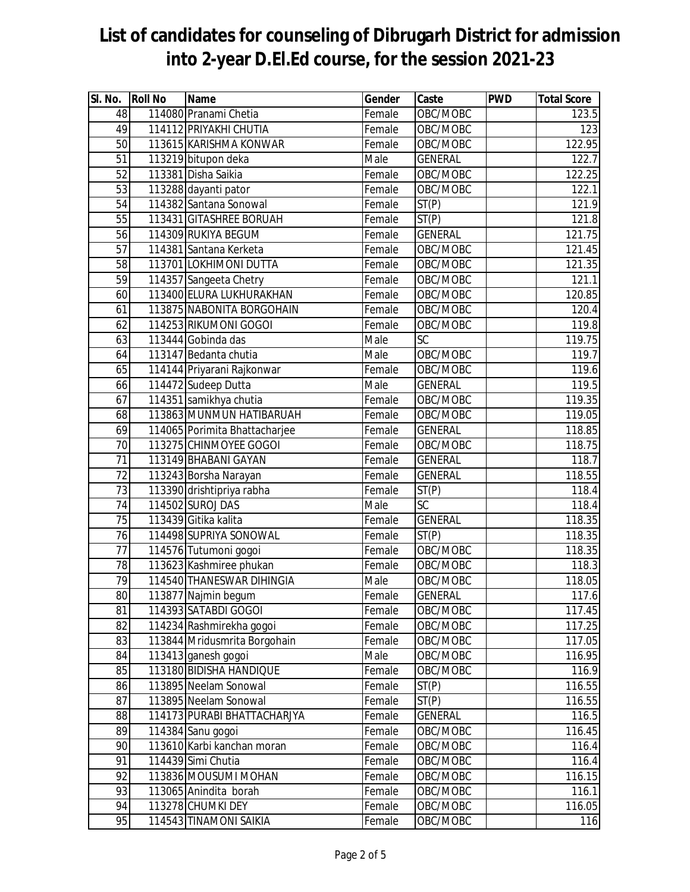| SI. No.         | <b>Roll No</b> | Name                          | Gender | Caste           | <b>PWD</b> | <b>Total Score</b> |
|-----------------|----------------|-------------------------------|--------|-----------------|------------|--------------------|
| 48              |                | 114080 Pranami Chetia         | Female | OBC/MOBC        |            | 123.5              |
| 49              |                | 114112 PRIYAKHI CHUTIA        | Female | OBC/MOBC        |            | 123                |
| 50              |                | 113615 KARISHMA KONWAR        | Female | OBC/MOBC        |            | 122.95             |
| 51              |                | 113219 bitupon deka           | Male   | <b>GENERAL</b>  |            | 122.7              |
| 52              |                | 113381 Disha Saikia           | Female | OBC/MOBC        |            | 122.25             |
| 53              |                | 113288 dayanti pator          | Female | OBC/MOBC        |            | 122.1              |
| 54              |                | 114382 Santana Sonowal        | Female | ST(P)           |            | 121.9              |
| 55              |                | 113431 GITASHREE BORUAH       | Female | ST(P)           |            | 121.8              |
| 56              |                | 114309 RUKIYA BEGUM           | Female | <b>GENERAL</b>  |            | 121.75             |
| 57              |                | 114381 Santana Kerketa        | Female | OBC/MOBC        |            | 121.45             |
| 58              |                | 113701 LOKHIMONI DUTTA        | Female | OBC/MOBC        |            | 121.35             |
| 59              |                | 114357 Sangeeta Chetry        | Female | OBC/MOBC        |            | 121.1              |
| 60              |                | 113400 ELURA LUKHURAKHAN      | Female | OBC/MOBC        |            | 120.85             |
| 61              |                | 113875 NABONITA BORGOHAIN     | Female | OBC/MOBC        |            | 120.4              |
| 62              |                | 114253 RIKUMONI GOGOI         | Female | OBC/MOBC        |            | 119.8              |
| 63              |                | 113444 Gobinda das            | Male   | SC              |            | 119.75             |
| 64              |                | 113147 Bedanta chutia         | Male   | OBC/MOBC        |            | 119.7              |
| 65              |                | 114144 Priyarani Rajkonwar    | Female | OBC/MOBC        |            | 119.6              |
| 66              |                | 114472 Sudeep Dutta           | Male   | <b>GENERAL</b>  |            | 119.5              |
| 67              |                | 114351 samikhya chutia        | Female | OBC/MOBC        |            | 119.35             |
| 68              |                | 113863 MUNMUN HATIBARUAH      | Female | OBC/MOBC        |            | 119.05             |
| 69              |                | 114065 Porimita Bhattacharjee | Female | <b>GENERAL</b>  |            | 118.85             |
| 70              |                | 113275 CHINMOYEE GOGOI        | Female | OBC/MOBC        |            | 118.75             |
| 71              |                | 113149 BHABANI GAYAN          | Female | <b>GENERAL</b>  |            | 118.7              |
| $\overline{72}$ |                | 113243 Borsha Narayan         | Female | <b>GENERAL</b>  |            | 118.55             |
| 73              |                | 113390 drishtipriya rabha     | Female | ST(P)           |            | 118.4              |
| 74              |                | 114502 SUROJ DAS              | Male   | $\overline{SC}$ |            | 118.4              |
| 75              |                | 113439 Gitika kalita          | Female | <b>GENERAL</b>  |            | 118.35             |
| $\overline{76}$ |                | 114498 SUPRIYA SONOWAL        | Female | ST(P)           |            | 118.35             |
| $\overline{77}$ |                | 114576 Tutumoni gogoi         | Female | OBC/MOBC        |            | 118.35             |
| 78              |                | 113623 Kashmiree phukan       | Female | OBC/MOBC        |            | 118.3              |
| 79              |                | 114540 THANESWAR DIHINGIA     | Male   | OBC/MOBC        |            | 118.05             |
| 80              |                | 113877 Najmin begum           | Female | <b>GENERAL</b>  |            | 117.6              |
| 81              |                | 114393 SATABDI GOGOI          | Female | OBC/MOBC        |            | 117.45             |
| 82              |                | 114234 Rashmirekha gogoi      | Female | OBC/MOBC        |            | 117.25             |
| 83              |                | 113844 Mridusmrita Borgohain  | Female | OBC/MOBC        |            | 117.05             |
| 84              |                | 113413 ganesh gogoi           | Male   | OBC/MOBC        |            | 116.95             |
| 85              |                | 113180 BIDISHA HANDIQUE       | Female | OBC/MOBC        |            | 116.9              |
| 86              |                | 113895 Neelam Sonowal         | Female | ST(P)           |            | 116.55             |
| 87              |                | 113895 Neelam Sonowal         | Female | ST(P)           |            | 116.55             |
| 88              |                | 114173 PURABI BHATTACHARJYA   | Female | <b>GENERAL</b>  |            | 116.5              |
| 89              |                | 114384 Sanu gogoi             | Female | OBC/MOBC        |            | 116.45             |
| 90              |                | 113610 Karbi kanchan moran    | Female | OBC/MOBC        |            | 116.4              |
| 91              |                | 114439 Simi Chutia            | Female | OBC/MOBC        |            | 116.4              |
| 92              |                | 113836 MOUSUMI MOHAN          | Female | OBC/MOBC        |            | 116.15             |
| 93              |                | 113065 Anindita borah         | Female | OBC/MOBC        |            | 116.1              |
| 94              |                | 113278 CHUMKI DEY             | Female | OBC/MOBC        |            | 116.05             |
| 95              |                | 114543 TINAMONI SAIKIA        | Female | OBC/MOBC        |            | 116                |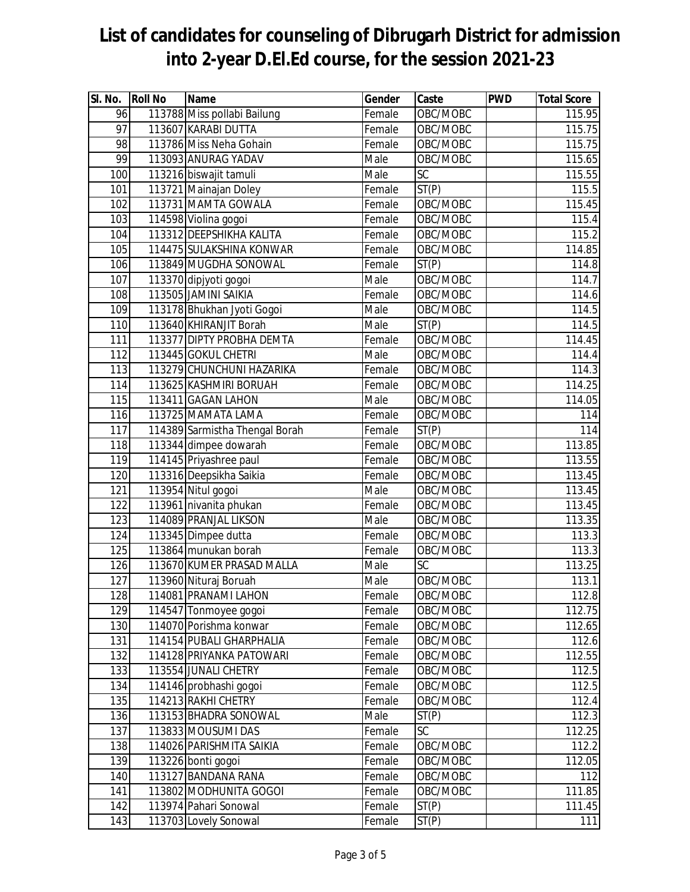| SI. No. | <b>Roll No</b> | <b>Name</b>                    | Gender | Caste              | <b>PWD</b> | <b>Total Score</b> |
|---------|----------------|--------------------------------|--------|--------------------|------------|--------------------|
| 96      |                | 113788 Miss pollabi Bailung    | Female | OBC/MOBC           |            | 115.95             |
| 97      |                | 113607 KARABI DUTTA            | Female | OBC/MOBC           |            | 115.75             |
| 98      |                | 113786 Miss Neha Gohain        | Female | OBC/MOBC           |            | 115.75             |
| 99      |                | 113093 ANURAG YADAV            | Male   | OBC/MOBC           |            | 115.65             |
| 100     |                | 113216 biswajit tamuli         | Male   | $\overline{SC}$    |            | 115.55             |
| 101     |                | 113721 Mainajan Doley          | Female | $\overline{ST}(P)$ |            | 115.5              |
| 102     |                | 113731 MAMTA GOWALA            | Female | OBC/MOBC           |            | 115.45             |
| 103     |                | 114598 Violina gogoi           | Female | OBC/MOBC           |            | 115.4              |
| 104     |                | 113312 DEEPSHIKHA KALITA       | Female | OBC/MOBC           |            | 115.2              |
| 105     |                | 114475 SULAKSHINA KONWAR       | Female | OBC/MOBC           |            | 114.85             |
| 106     |                | 113849 MUGDHA SONOWAL          | Female | ST(P)              |            | 114.8              |
| 107     |                | 113370 dipjyoti gogoi          | Male   | OBC/MOBC           |            | 114.7              |
| 108     |                | 113505 JAMINI SAIKIA           | Female | OBC/MOBC           |            | 114.6              |
| 109     |                | 113178 Bhukhan Jyoti Gogoi     | Male   | OBC/MOBC           |            | 114.5              |
| 110     |                | 113640 KHIRANJIT Borah         | Male   | ST(P)              |            | 114.5              |
| 111     |                | 113377 DIPTY PROBHA DEMTA      | Female | OBC/MOBC           |            | 114.45             |
| 112     |                | 113445 GOKUL CHETRI            | Male   | OBC/MOBC           |            | 114.4              |
| 113     |                | 113279 CHUNCHUNI HAZARIKA      | Female | OBC/MOBC           |            | 114.3              |
| 114     |                | 113625 KASHMIRI BORUAH         | Female | OBC/MOBC           |            | 114.25             |
| 115     |                | 113411 GAGAN LAHON             | Male   | OBC/MOBC           |            | 114.05             |
| 116     |                | 113725 MAMATA LAMA             | Female | OBC/MOBC           |            | 114                |
| 117     |                | 114389 Sarmistha Thengal Borah | Female | ST(P)              |            | 114                |
| 118     |                | 113344 dimpee dowarah          | Female | OBC/MOBC           |            | 113.85             |
| 119     |                | 114145 Priyashree paul         | Female | OBC/MOBC           |            | 113.55             |
| 120     |                | 113316 Deepsikha Saikia        | Female | OBC/MOBC           |            | 113.45             |
| 121     |                | 113954 Nitul gogoi             | Male   | OBC/MOBC           |            | 113.45             |
| 122     |                | 113961 nivanita phukan         | Female | OBC/MOBC           |            | 113.45             |
| 123     |                | 114089 PRANJAL LIKSON          | Male   | OBC/MOBC           |            | 113.35             |
| 124     |                | 113345 Dimpee dutta            | Female | OBC/MOBC           |            | 113.3              |
| 125     |                | 113864 munukan borah           | Female | OBC/MOBC           |            | 113.3              |
| 126     |                | 113670 KUMER PRASAD MALLA      | Male   | SC                 |            | 113.25             |
| 127     |                | 113960 Nituraj Boruah          | Male   | OBC/MOBC           |            | 113.1              |
| 128     |                | 114081 PRANAMI LAHON           | Female | OBC/MOBC           |            | 112.8              |
| 129     |                | 114547 Tonmoyee gogoi          | Female | OBC/MOBC           |            | 112.75             |
| 130     |                | 114070 Porishma konwar         | Female | OBC/MOBC           |            | 112.65             |
| 131     |                | 114154 PUBALI GHARPHALIA       | Female | OBC/MOBC           |            | 112.6              |
| 132     |                | 114128 PRIYANKA PATOWARI       | Female | OBC/MOBC           |            | 112.55             |
| 133     |                | 113554 JUNALI CHETRY           | Female | OBC/MOBC           |            | 112.5              |
| 134     |                | 114146 probhashi gogoi         | Female | OBC/MOBC           |            | 112.5              |
| 135     |                | 114213 RAKHI CHETRY            | Female | OBC/MOBC           |            | 112.4              |
| 136     |                | 113153 BHADRA SONOWAL          | Male   | ST(P)              |            | 112.3              |
| 137     |                | 113833 MOUSUMI DAS             | Female | $\overline{SC}$    |            | 112.25             |
| 138     |                | 114026 PARISHMITA SAIKIA       | Female | OBC/MOBC           |            | 112.2              |
| 139     |                | 113226 bonti gogoi             | Female | OBC/MOBC           |            | 112.05             |
| 140     |                | 113127 BANDANA RANA            | Female | OBC/MOBC           |            | 112                |
| 141     |                | 113802 MODHUNITA GOGOI         | Female | OBC/MOBC           |            | 111.85             |
| 142     |                | 113974 Pahari Sonowal          | Female | ST(P)              |            | 111.45             |
| 143     |                | 113703 Lovely Sonowal          | Female | ST(P)              |            | 111                |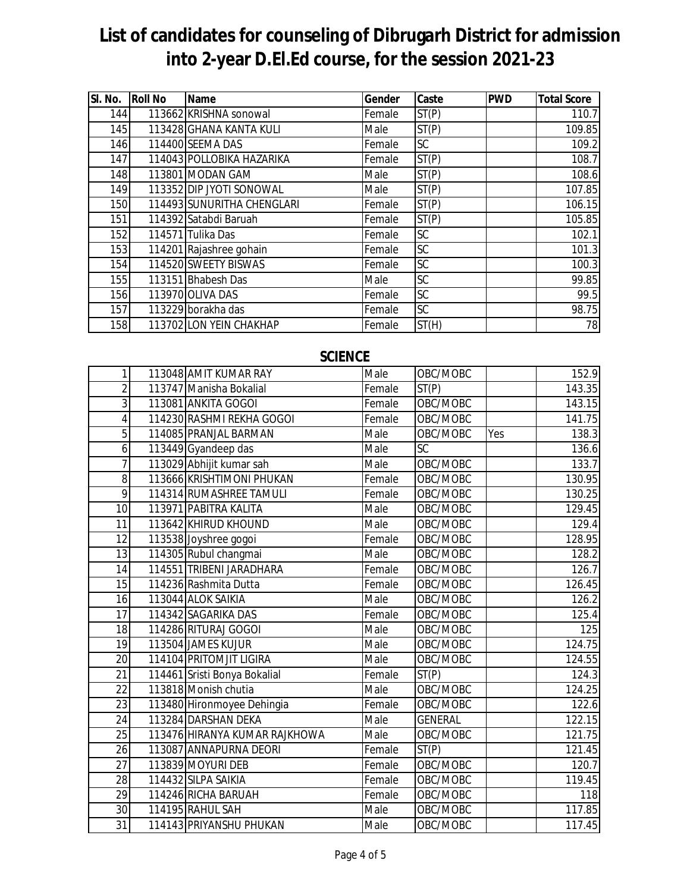| SI. No. | <b>Roll No</b> | <b>Name</b>                | Gender | Caste | <b>PWD</b> | <b>Total Score</b> |
|---------|----------------|----------------------------|--------|-------|------------|--------------------|
| 144     |                | 113662 KRISHNA sonowal     | Female | ST(P) |            | 110.7              |
| 145     |                | 113428 GHANA KANTA KULI    | Male   | ST(P) |            | 109.85             |
| 146     |                | 114400 SEEMA DAS           | Female | SC    |            | 109.2              |
| 147     |                | 114043 POLLOBIKA HAZARIKA  | Female | ST(P) |            | 108.7              |
| 148     |                | 113801 MODAN GAM           | Male   | ST(P) |            | 108.6              |
| 149     |                | 113352 DIP JYOTI SONOWAL   | Male   | ST(P) |            | 107.85             |
| 150     |                | 114493 SUNURITHA CHENGLARI | Female | ST(P) |            | 106.15             |
| 151     |                | 114392 Satabdi Baruah      | Female | ST(P) |            | 105.85             |
| 152     |                | 114571 Tulika Das          | Female | SC    |            | 102.1              |
| 153     |                | 114201 Rajashree gohain    | Female | SC    |            | 101.3              |
| 154     |                | 114520 SWEETY BISWAS       | Female | SC    |            | 100.3              |
| 155     |                | 113151 Bhabesh Das         | Male   | SC    |            | 99.85              |
| 156     |                | 113970 OLIVA DAS           | Female | SC    |            | 99.5               |
| 157     |                | 113229 borakha das         | Female | SC    |            | 98.75              |
| 158     |                | 113702 LON YEIN CHAKHAP    | Female | ST(H) |            | 78                 |

#### **SCIENCE**

| 1               | 113048 AMIT KUMAR RAY         | Male   | OBC/MOBC       |     | 152.9  |
|-----------------|-------------------------------|--------|----------------|-----|--------|
| 2               | 113747 Manisha Bokalial       | Female | ST(P)          |     | 143.35 |
| 3               | 113081 ANKITA GOGOI           | Female | OBC/MOBC       |     | 143.15 |
| 4               | 114230 RASHMI REKHA GOGOI     | Female | OBC/MOBC       |     | 141.75 |
| 5               | 114085 PRANJAL BARMAN         | Male   | OBC/MOBC       | Yes | 138.3  |
| 6               | 113449 Gyandeep das           | Male   | <b>SC</b>      |     | 136.6  |
| 7               | 113029 Abhijit kumar sah      | Male   | OBC/MOBC       |     | 133.7  |
| 8               | 113666 KRISHTIMONI PHUKAN     | Female | OBC/MOBC       |     | 130.95 |
| 9               | 114314 RUMASHREE TAMULI       | Female | OBC/MOBC       |     | 130.25 |
| 10              | 113971 PABITRA KALITA         | Male   | OBC/MOBC       |     | 129.45 |
| 11              | 113642 KHIRUD KHOUND          | Male   | OBC/MOBC       |     | 129.4  |
| 12              | 113538 Joyshree gogoi         | Female | OBC/MOBC       |     | 128.95 |
| 13              | 114305 Rubul changmai         | Male   | OBC/MOBC       |     | 128.2  |
| 14              | 114551 TRIBENI JARADHARA      | Female | OBC/MOBC       |     | 126.7  |
| 15              | 114236 Rashmita Dutta         | Female | OBC/MOBC       |     | 126.45 |
| 16              | 113044 ALOK SAIKIA            | Male   | OBC/MOBC       |     | 126.2  |
| 17              | 114342 SAGARIKA DAS           | Female | OBC/MOBC       |     | 125.4  |
| 18              | 114286 RITURAJ GOGOI          | Male   | OBC/MOBC       |     | 125    |
| 19              | 113504 JAMES KUJUR            | Male   | OBC/MOBC       |     | 124.75 |
| $\overline{20}$ | 114104 PRITOMJIT LIGIRA       | Male   | OBC/MOBC       |     | 124.55 |
| 21              | 114461 Sristi Bonya Bokalial  | Female | ST(P)          |     | 124.3  |
| 22              | 113818 Monish chutia          | Male   | OBC/MOBC       |     | 124.25 |
| 23              | 113480 Hironmoyee Dehingia    | Female | OBC/MOBC       |     | 122.6  |
| 24              | 113284 DARSHAN DEKA           | Male   | <b>GENERAL</b> |     | 122.15 |
| $\overline{25}$ | 113476 HIRANYA KUMAR RAJKHOWA | Male   | OBC/MOBC       |     | 121.75 |
| 26              | 113087 ANNAPURNA DEORI        | Female | ST(P)          |     | 121.45 |
| 27              | 113839 MOYURI DEB             | Female | OBC/MOBC       |     | 120.7  |
| 28              | 114432 SILPA SAIKIA           | Female | OBC/MOBC       |     | 119.45 |
| 29              | 114246 RICHA BARUAH           | Female | OBC/MOBC       |     | 118    |
| 30              | 114195 RAHUL SAH              | Male   | OBC/MOBC       |     | 117.85 |
| 31              | 114143 PRIYANSHU PHUKAN       | Male   | OBC/MOBC       |     | 117.45 |